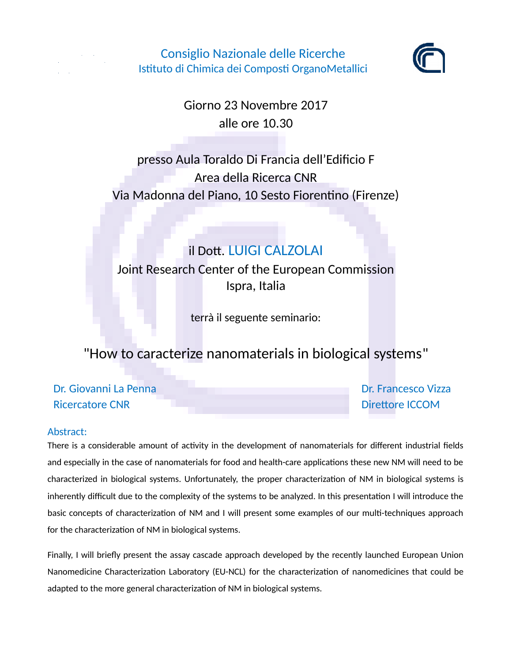

Consiglio Nazionale delle Ricerche Istituto di Chimica dei Composti OrganoMetallici



Giorno 23 Novembre 2017 alle ore 10.30

presso Aula Toraldo Di Francia dell'Edificio F Area della Ricerca CNR Via Madonna del Piano, 10 Sesto Fiorentino (Firenze)

## il Dott. LUIGI CALZOLAI

Joint Research Center of the European Commission Ispra, Italia

terrà il seguente seminario:

## "How to caracterize nanomaterials in biological systems"

Dr. Giovanni La Penna Dr. Francesco Vizza Ricercatore CNR New York 2012 19:00 Nicercatore ICCOM

## Abstract:

There is a considerable amount of activity in the development of nanomaterials for different industrial fields and especially in the case of nanomaterials for food and health-care applications these new NM will need to be characterized in biological systems. Unfortunately, the proper characterization of NM in biological systems is inherently difficult due to the complexity of the systems to be analyzed. In this presentation I will introduce the basic concepts of characterization of NM and I will present some examples of our multi-techniques approach for the characterization of NM in biological systems.

Finally, I will briefly present the assay cascade approach developed by the recently launched European Union Nanomedicine Characterization Laboratory (EU-NCL) for the characterization of nanomedicines that could be adapted to the more general characterization of NM in biological systems.